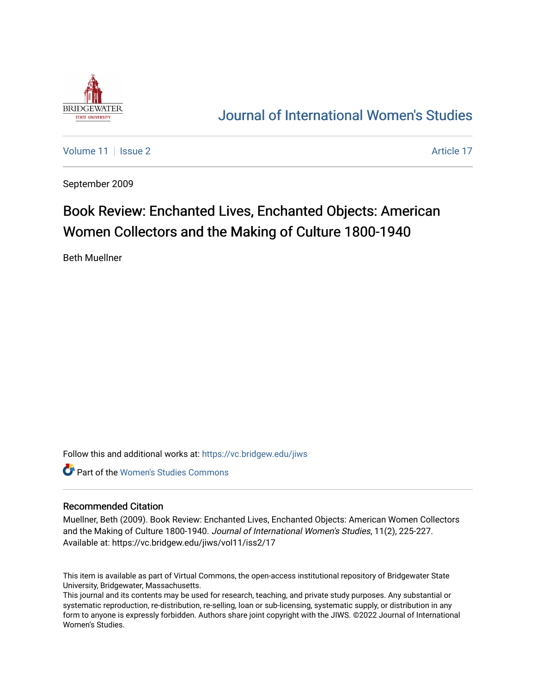

## [Journal of International Women's Studies](https://vc.bridgew.edu/jiws)

[Volume 11](https://vc.bridgew.edu/jiws/vol11) | [Issue 2](https://vc.bridgew.edu/jiws/vol11/iss2) Article 17

September 2009

# Book Review: Enchanted Lives, Enchanted Objects: American Women Collectors and the Making of Culture 1800-1940

Beth Muellner

Follow this and additional works at: [https://vc.bridgew.edu/jiws](https://vc.bridgew.edu/jiws?utm_source=vc.bridgew.edu%2Fjiws%2Fvol11%2Fiss2%2F17&utm_medium=PDF&utm_campaign=PDFCoverPages)

**C** Part of the Women's Studies Commons

#### Recommended Citation

Muellner, Beth (2009). Book Review: Enchanted Lives, Enchanted Objects: American Women Collectors and the Making of Culture 1800-1940. Journal of International Women's Studies, 11(2), 225-227. Available at: https://vc.bridgew.edu/jiws/vol11/iss2/17

This item is available as part of Virtual Commons, the open-access institutional repository of Bridgewater State University, Bridgewater, Massachusetts.

This journal and its contents may be used for research, teaching, and private study purposes. Any substantial or systematic reproduction, re-distribution, re-selling, loan or sub-licensing, systematic supply, or distribution in any form to anyone is expressly forbidden. Authors share joint copyright with the JIWS. ©2022 Journal of International Women's Studies.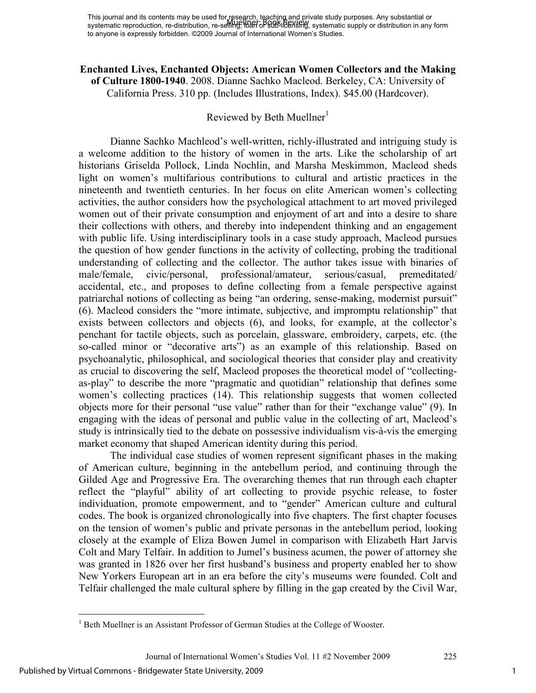### **Enchanted Lives, Enchanted Objects: American Women Collectors and the Making of Culture 1800-1940**. 2008. Dianne Sachko Macleod. Berkeley, CA: University of California Press. 310 pp. (Includes Illustrations, Index). \$45.00 (Hardcover).

## Reviewed by Beth Muellner<sup>1</sup>

Dianne Sachko Machleod's well-written, richly-illustrated and intriguing study is a welcome addition to the history of women in the arts. Like the scholarship of art historians Griselda Pollock, Linda Nochlin, and Marsha Meskimmon, Macleod sheds light on women's multifarious contributions to cultural and artistic practices in the nineteenth and twentieth centuries. In her focus on elite American women's collecting activities, the author considers how the psychological attachment to art moved privileged women out of their private consumption and enjoyment of art and into a desire to share their collections with others, and thereby into independent thinking and an engagement with public life. Using interdisciplinary tools in a case study approach, Macleod pursues the question of how gender functions in the activity of collecting, probing the traditional understanding of collecting and the collector. The author takes issue with binaries of male/female, civic/personal, professional/amateur, serious/casual, premeditated/ accidental, etc., and proposes to define collecting from a female perspective against patriarchal notions of collecting as being "an ordering, sense-making, modernist pursuit" (6). Macleod considers the "more intimate, subjective, and impromptu relationship" that exists between collectors and objects (6), and looks, for example, at the collector's penchant for tactile objects, such as porcelain, glassware, embroidery, carpets, etc. (the so-called minor or "decorative arts") as an example of this relationship. Based on psychoanalytic, philosophical, and sociological theories that consider play and creativity as crucial to discovering the self, Macleod proposes the theoretical model of "collectingas-play" to describe the more "pragmatic and quotidian" relationship that defines some women's collecting practices (14). This relationship suggests that women collected objects more for their personal "use value" rather than for their "exchange value" (9). In engaging with the ideas of personal and public value in the collecting of art, Macleod's study is intrinsically tied to the debate on possessive individualism vis-à-vis the emerging market economy that shaped American identity during this period.

The individual case studies of women represent significant phases in the making of American culture, beginning in the antebellum period, and continuing through the Gilded Age and Progressive Era. The overarching themes that run through each chapter reflect the "playful" ability of art collecting to provide psychic release, to foster individuation, promote empowerment, and to "gender" American culture and cultural codes. The book is organized chronologically into five chapters. The first chapter focuses on the tension of women's public and private personas in the antebellum period, looking closely at the example of Eliza Bowen Jumel in comparison with Elizabeth Hart Jarvis Colt and Mary Telfair. In addition to Jumel's business acumen, the power of attorney she was granted in 1826 over her first husband's business and property enabled her to show New Yorkers European art in an era before the city's museums were founded. Colt and Telfair challenged the male cultural sphere by filling in the gap created by the Civil War,

 $\overline{a}$ 

<sup>&</sup>lt;sup>1</sup> Beth Muellner is an Assistant Professor of German Studies at the College of Wooster.

Journal of International Women's Studies Vol. 11 #2 November 2009 225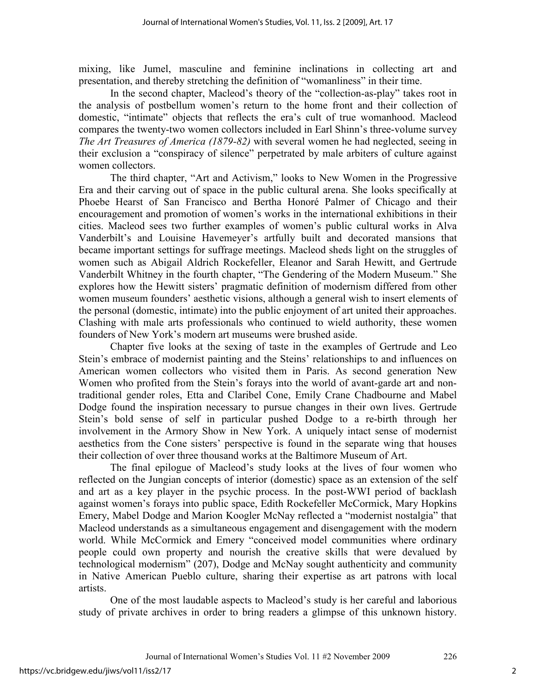mixing, like Jumel, masculine and feminine inclinations in collecting art and presentation, and thereby stretching the definition of "womanliness" in their time.

In the second chapter, Macleod's theory of the "collection-as-play" takes root in the analysis of postbellum women's return to the home front and their collection of domestic, "intimate" objects that reflects the era's cult of true womanhood. Macleod compares the twenty-two women collectors included in Earl Shinn's three-volume survey *The Art Treasures of America (1879-82)* with several women he had neglected, seeing in their exclusion a "conspiracy of silence" perpetrated by male arbiters of culture against women collectors.

The third chapter, "Art and Activism," looks to New Women in the Progressive Era and their carving out of space in the public cultural arena. She looks specifically at Phoebe Hearst of San Francisco and Bertha Honoré Palmer of Chicago and their encouragement and promotion of women's works in the international exhibitions in their cities. Macleod sees two further examples of women's public cultural works in Alva Vanderbilt's and Louisine Havemeyer's artfully built and decorated mansions that became important settings for suffrage meetings. Macleod sheds light on the struggles of women such as Abigail Aldrich Rockefeller, Eleanor and Sarah Hewitt, and Gertrude Vanderbilt Whitney in the fourth chapter, "The Gendering of the Modern Museum." She explores how the Hewitt sisters' pragmatic definition of modernism differed from other women museum founders' aesthetic visions, although a general wish to insert elements of the personal (domestic, intimate) into the public enjoyment of art united their approaches. Clashing with male arts professionals who continued to wield authority, these women founders of New York's modern art museums were brushed aside.

Chapter five looks at the sexing of taste in the examples of Gertrude and Leo Stein's embrace of modernist painting and the Steins' relationships to and influences on American women collectors who visited them in Paris. As second generation New Women who profited from the Stein's forays into the world of avant-garde art and nontraditional gender roles, Etta and Claribel Cone, Emily Crane Chadbourne and Mabel Dodge found the inspiration necessary to pursue changes in their own lives. Gertrude Stein's bold sense of self in particular pushed Dodge to a re-birth through her involvement in the Armory Show in New York. A uniquely intact sense of modernist aesthetics from the Cone sisters' perspective is found in the separate wing that houses their collection of over three thousand works at the Baltimore Museum of Art.

The final epilogue of Macleod's study looks at the lives of four women who reflected on the Jungian concepts of interior (domestic) space as an extension of the self and art as a key player in the psychic process. In the post-WWI period of backlash against women's forays into public space, Edith Rockefeller McCormick, Mary Hopkins Emery, Mabel Dodge and Marion Koogler McNay reflected a "modernist nostalgia" that Macleod understands as a simultaneous engagement and disengagement with the modern world. While McCormick and Emery "conceived model communities where ordinary people could own property and nourish the creative skills that were devalued by technological modernism" (207), Dodge and McNay sought authenticity and community in Native American Pueblo culture, sharing their expertise as art patrons with local artists.

One of the most laudable aspects to Macleod's study is her careful and laborious study of private archives in order to bring readers a glimpse of this unknown history.

2